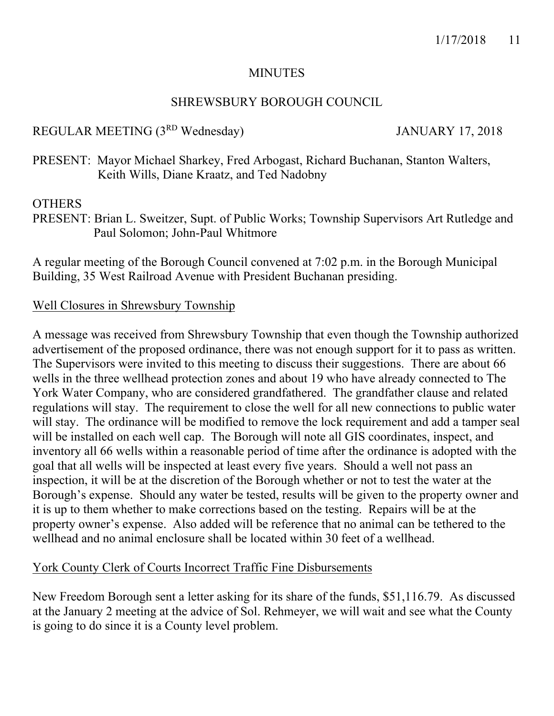#### **MINUTES**

## SHREWSBURY BOROUGH COUNCIL

## REGULAR MEETING (3<sup>RD</sup> Wednesday) JANUARY 17, 2018

PRESENT: Mayor Michael Sharkey, Fred Arbogast, Richard Buchanan, Stanton Walters, Keith Wills, Diane Kraatz, and Ted Nadobny

## **OTHERS**

PRESENT: Brian L. Sweitzer, Supt. of Public Works; Township Supervisors Art Rutledge and Paul Solomon; John-Paul Whitmore

A regular meeting of the Borough Council convened at 7:02 p.m. in the Borough Municipal Building, 35 West Railroad Avenue with President Buchanan presiding.

#### Well Closures in Shrewsbury Township

A message was received from Shrewsbury Township that even though the Township authorized advertisement of the proposed ordinance, there was not enough support for it to pass as written. The Supervisors were invited to this meeting to discuss their suggestions. There are about 66 wells in the three wellhead protection zones and about 19 who have already connected to The York Water Company, who are considered grandfathered. The grandfather clause and related regulations will stay. The requirement to close the well for all new connections to public water will stay. The ordinance will be modified to remove the lock requirement and add a tamper seal will be installed on each well cap. The Borough will note all GIS coordinates, inspect, and inventory all 66 wells within a reasonable period of time after the ordinance is adopted with the goal that all wells will be inspected at least every five years. Should a well not pass an inspection, it will be at the discretion of the Borough whether or not to test the water at the Borough's expense. Should any water be tested, results will be given to the property owner and it is up to them whether to make corrections based on the testing. Repairs will be at the property owner's expense. Also added will be reference that no animal can be tethered to the wellhead and no animal enclosure shall be located within 30 feet of a wellhead.

## York County Clerk of Courts Incorrect Traffic Fine Disbursements

New Freedom Borough sent a letter asking for its share of the funds, \$51,116.79. As discussed at the January 2 meeting at the advice of Sol. Rehmeyer, we will wait and see what the County is going to do since it is a County level problem.